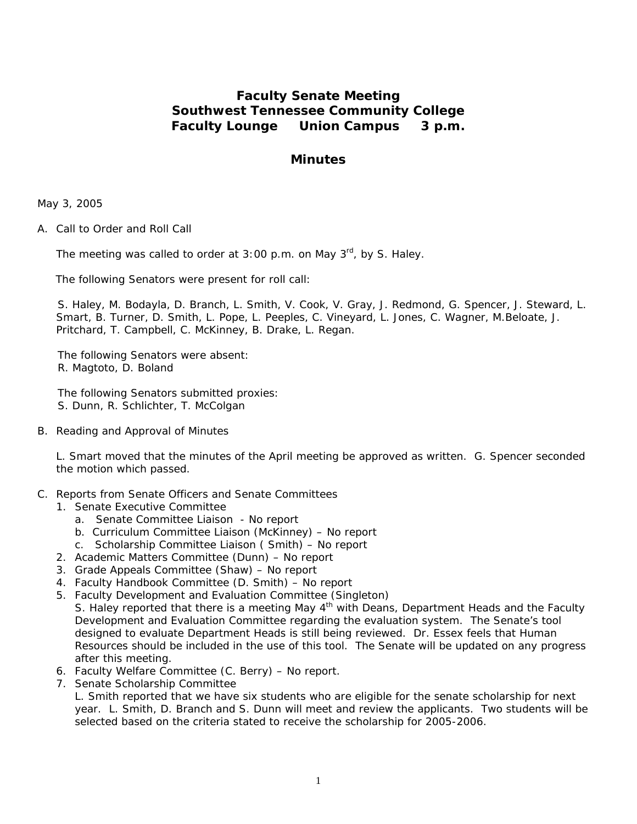# **Faculty Senate Meeting Southwest Tennessee Community College Faculty Lounge Union Campus 3 p.m.**

## **Minutes**

May 3, 2005

A. Call to Order and Roll Call

The meeting was called to order at  $3:00$  p.m. on May  $3<sup>rd</sup>$ , by S. Haley.

The following Senators were present for roll call:

S. Haley, M. Bodayla, D. Branch, L. Smith, V. Cook, V. Gray, J. Redmond, G. Spencer, J. Steward, L. Smart, B. Turner, D. Smith, L. Pope, L. Peeples, C. Vineyard, L. Jones, C. Wagner, M.Beloate, J. Pritchard, T. Campbell, C. McKinney, B. Drake, L. Regan.

The following Senators were absent: R. Magtoto, D. Boland

The following Senators submitted proxies: S. Dunn, R. Schlichter, T. McColgan

B. Reading and Approval of Minutes

L. Smart moved that the minutes of the April meeting be approved as written. G. Spencer seconded the motion which passed.

- C. Reports from Senate Officers and Senate Committees
	- 1. Senate Executive Committee
		- a. Senate Committee Liaison No report
		- b. Curriculum Committee Liaison (McKinney) No report
		- c. Scholarship Committee Liaison ( Smith) No report
	- 2. Academic Matters Committee (Dunn) No report
	- 3. Grade Appeals Committee (Shaw) No report
	- 4. Faculty Handbook Committee (D. Smith) No report
	- 5. Faculty Development and Evaluation Committee (Singleton) S. Haley reported that there is a meeting May 4<sup>th</sup> with Deans, Department Heads and the Faculty Development and Evaluation Committee regarding the evaluation system. The Senate's tool designed to evaluate Department Heads is still being reviewed. Dr. Essex feels that Human Resources should be included in the use of this tool. The Senate will be updated on any progress after this meeting.
	- 6. Faculty Welfare Committee (C. Berry) No report.
	- 7. Senate Scholarship Committee

L. Smith reported that we have six students who are eligible for the senate scholarship for next year. L. Smith, D. Branch and S. Dunn will meet and review the applicants. Two students will be selected based on the criteria stated to receive the scholarship for 2005-2006.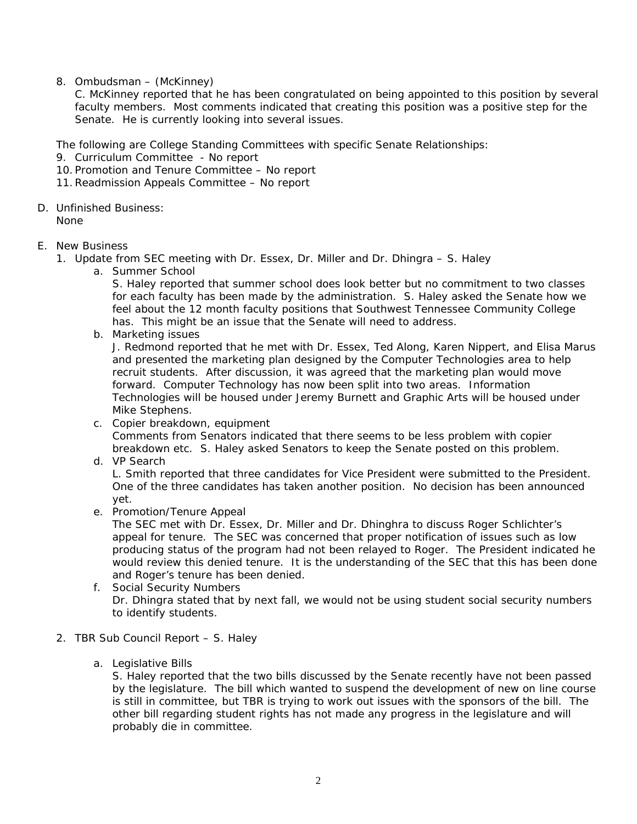8. Ombudsman – (McKinney)

C. McKinney reported that he has been congratulated on being appointed to this position by several faculty members. Most comments indicated that creating this position was a positive step for the Senate. He is currently looking into several issues.

The following are College Standing Committees with specific Senate Relationships:

- 9. Curriculum Committee No report
- 10. Promotion and Tenure Committee No report
- 11.Readmission Appeals Committee No report
- D. Unfinished Business:

None

- E. New Business
	- 1. Update from SEC meeting with Dr. Essex, Dr. Miller and Dr. Dhingra S. Haley
		- a. Summer School

S. Haley reported that summer school does look better but no commitment to two classes for each faculty has been made by the administration. S. Haley asked the Senate how we feel about the 12 month faculty positions that Southwest Tennessee Community College has. This might be an issue that the Senate will need to address.

b. Marketing issues

J. Redmond reported that he met with Dr. Essex, Ted Along, Karen Nippert, and Elisa Marus and presented the marketing plan designed by the Computer Technologies area to help recruit students. After discussion, it was agreed that the marketing plan would move forward. Computer Technology has now been split into two areas. Information Technologies will be housed under Jeremy Burnett and Graphic Arts will be housed under Mike Stephens.

- c. Copier breakdown, equipment Comments from Senators indicated that there seems to be less problem with copier breakdown etc. S. Haley asked Senators to keep the Senate posted on this problem.
- d. VP Search

L. Smith reported that three candidates for Vice President were submitted to the President. One of the three candidates has taken another position. No decision has been announced yet.

e. Promotion/Tenure Appeal

The SEC met with Dr. Essex, Dr. Miller and Dr. Dhinghra to discuss Roger Schlichter's appeal for tenure. The SEC was concerned that proper notification of issues such as low producing status of the program had not been relayed to Roger. The President indicated he would review this denied tenure. It is the understanding of the SEC that this has been done and Roger's tenure has been denied.

- f. Social Security Numbers Dr. Dhingra stated that by next fall, we would not be using student social security numbers to identify students.
- 2. TBR Sub Council Report S. Haley
	- a. Legislative Bills

S. Haley reported that the two bills discussed by the Senate recently have not been passed by the legislature. The bill which wanted to suspend the development of new on line course is still in committee, but TBR is trying to work out issues with the sponsors of the bill. The other bill regarding student rights has not made any progress in the legislature and will probably die in committee.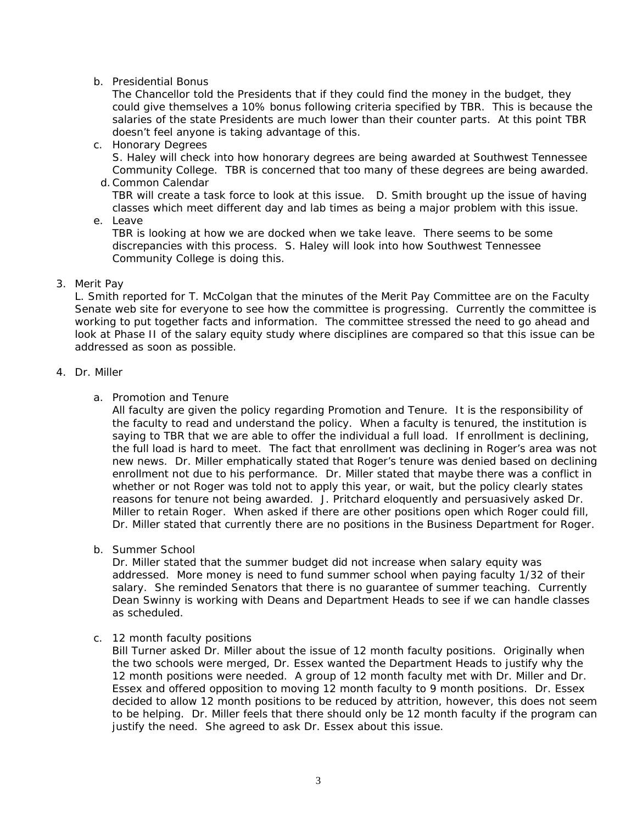## b. Presidential Bonus

The Chancellor told the Presidents that if they could find the money in the budget, they could give themselves a 10% bonus following criteria specified by TBR. This is because the salaries of the state Presidents are much lower than their counter parts. At this point TBR doesn't feel anyone is taking advantage of this.

- c. Honorary Degrees S. Haley will check into how honorary degrees are being awarded at Southwest Tennessee Community College. TBR is concerned that too many of these degrees are being awarded.
- d. Common Calendar TBR will create a task force to look at this issue. D. Smith brought up the issue of having classes which meet different day and lab times as being a major problem with this issue.

e. Leave

TBR is looking at how we are docked when we take leave. There seems to be some discrepancies with this process. S. Haley will look into how Southwest Tennessee Community College is doing this.

#### 3. Merit Pay

L. Smith reported for T. McColgan that the minutes of the Merit Pay Committee are on the Faculty Senate web site for everyone to see how the committee is progressing. Currently the committee is working to put together facts and information. The committee stressed the need to go ahead and look at Phase II of the salary equity study where disciplines are compared so that this issue can be addressed as soon as possible.

#### 4. Dr. Miller

## a. Promotion and Tenure

All faculty are given the policy regarding Promotion and Tenure. It is the responsibility of the faculty to read and understand the policy. When a faculty is tenured, the institution is saying to TBR that we are able to offer the individual a full load. If enrollment is declining, the full load is hard to meet. The fact that enrollment was declining in Roger's area was not new news. Dr. Miller emphatically stated that Roger's tenure was denied based on declining enrollment not due to his performance. Dr. Miller stated that maybe there was a conflict in whether or not Roger was told not to apply this year, or wait, but the policy clearly states reasons for tenure not being awarded. J. Pritchard eloquently and persuasively asked Dr. Miller to retain Roger. When asked if there are other positions open which Roger could fill, Dr. Miller stated that currently there are no positions in the Business Department for Roger.

b. Summer School

Dr. Miller stated that the summer budget did not increase when salary equity was addressed. More money is need to fund summer school when paying faculty 1/32 of their salary. She reminded Senators that there is no guarantee of summer teaching. Currently Dean Swinny is working with Deans and Department Heads to see if we can handle classes as scheduled.

## c. 12 month faculty positions

Bill Turner asked Dr. Miller about the issue of 12 month faculty positions. Originally when the two schools were merged, Dr. Essex wanted the Department Heads to justify why the 12 month positions were needed. A group of 12 month faculty met with Dr. Miller and Dr. Essex and offered opposition to moving 12 month faculty to 9 month positions. Dr. Essex decided to allow 12 month positions to be reduced by attrition, however, this does not seem to be helping. Dr. Miller feels that there should only be 12 month faculty if the program can justify the need. She agreed to ask Dr. Essex about this issue.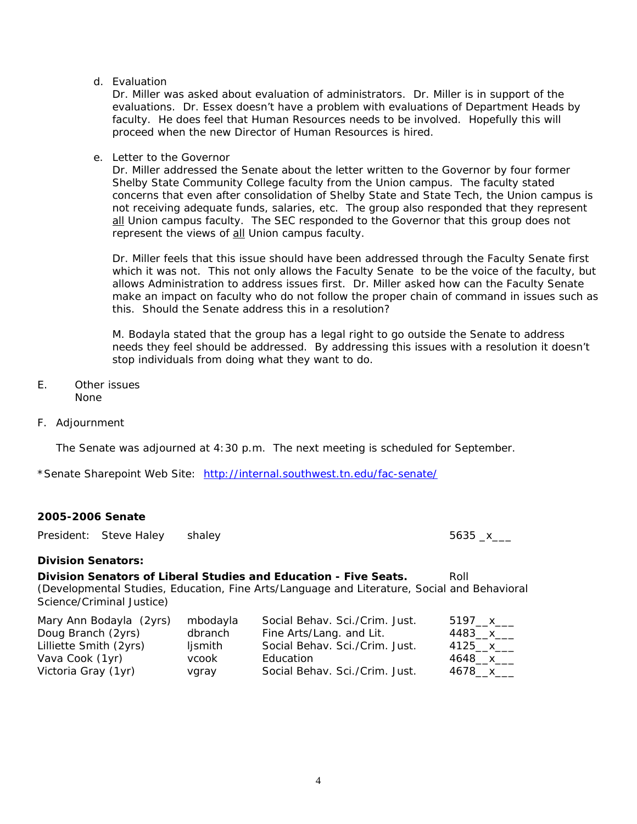d. Evaluation

Dr. Miller was asked about evaluation of administrators. Dr. Miller is in support of the evaluations. Dr. Essex doesn't have a problem with evaluations of Department Heads by faculty. He does feel that Human Resources needs to be involved. Hopefully this will proceed when the new Director of Human Resources is hired.

e. Letter to the Governor

Dr. Miller addressed the Senate about the letter written to the Governor by four former Shelby State Community College faculty from the Union campus. The faculty stated concerns that even after consolidation of Shelby State and State Tech, the Union campus is not receiving adequate funds, salaries, etc. The group also responded that they represent all Union campus faculty. The SEC responded to the Governor that this group does not represent the views of all Union campus faculty.

Dr. Miller feels that this issue should have been addressed through the Faculty Senate first which it was not. This not only allows the Faculty Senate to be the voice of the faculty, but allows Administration to address issues first. Dr. Miller asked how can the Faculty Senate make an impact on faculty who do not follow the proper chain of command in issues such as this. Should the Senate address this in a resolution?

M. Bodayla stated that the group has a legal right to go outside the Senate to address needs they feel should be addressed. By addressing this issues with a resolution it doesn't stop individuals from doing what they want to do.

- E. Other issues None
- F. Adjournment

The Senate was adjourned at 4:30 p.m. The next meeting is scheduled for September.

\*Senate Sharepoint Web Site: <http://internal.southwest.tn.edu/fac-senate/>

#### **2005-2006 Senate**

|                                                                                                                                                                                                      | President: Steve Haley  | shaley                                  |                                                                                                           | $5635 - x$                   |  |
|------------------------------------------------------------------------------------------------------------------------------------------------------------------------------------------------------|-------------------------|-----------------------------------------|-----------------------------------------------------------------------------------------------------------|------------------------------|--|
| <b>Division Senators:</b>                                                                                                                                                                            |                         |                                         |                                                                                                           |                              |  |
| Division Senators of Liberal Studies and Education - Five Seats.<br>Roll<br>(Developmental Studies, Education, Fine Arts/Language and Literature, Social and Behavioral<br>Science/Criminal Justice) |                         |                                         |                                                                                                           |                              |  |
| Doug Branch (2yrs)<br>Lilliette Smith (2yrs)<br>Vava Cook (1yr)                                                                                                                                      | Mary Ann Bodayla (2yrs) | mbodayla<br>dbranch<br>ljsmith<br>vcook | Social Behav. Sci./Crim. Just.<br>Fine Arts/Lang. and Lit.<br>Social Behav. Sci./Crim. Just.<br>Education | 5197 x<br>4483 $x$<br>4125 x |  |

Victoria Gray (1yr) vgray Social Behav. Sci./Crim. Just. 4678\_x\_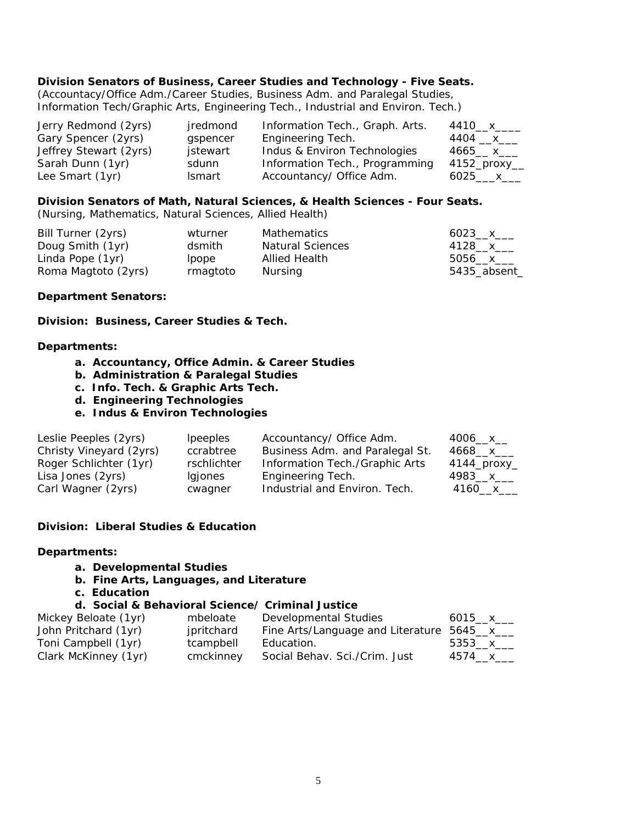### **Division Senators of Business, Career Studies and Technology - Five Seats.**

(Accountacy/Office Adm./Career Studies, Business Adm. and Paralegal Studies, Information Tech/Graphic Arts, Engineering Tech., Industrial and Environ. Tech.)

| Jerry Redmond (2yrs)   | jredmond | Information Tech., Graph. Arts. | 4410__x____  |
|------------------------|----------|---------------------------------|--------------|
| Gary Spencer (2yrs)    | gspencer | Engineering Tech.               | 4404 __x___  |
| Jeffrey Stewart (2yrs) | jstewart | Indus & Environ Technologies    | 4665 x       |
| Sarah Dunn (1yr)       | sdunn    | Information Tech., Programming  | 4152_proxy__ |
| Lee Smart (1yr)        | Ismart   | Accountancy/ Office Adm.        | 6025____x___ |

#### **Division Senators of Math, Natural Sciences, & Health Sciences - Four Seats.**

(Nursing, Mathematics, Natural Sciences, Allied Health)

| Bill Turner (2yrs)  | wturner  | Mathematics             | 6023 $x$     |
|---------------------|----------|-------------------------|--------------|
| Doug Smith (1yr)    | dsmith   | <b>Natural Sciences</b> | 4128__x___   |
| Linda Pope (1yr)    | lpope    | Allied Health           | 5056___x___  |
| Roma Magtoto (2yrs) | rmagtoto | Nursing                 | 5435_absent_ |

#### **Department Senators:**

**Division: Business, Career Studies & Tech.** 

#### **Departments:**

- **a. Accountancy, Office Admin. & Career Studies**
- **b. Administration & Paralegal Studies**
- **c. Info. Tech. & Graphic Arts Tech.**
- **d. Engineering Technologies**
- **e. Indus & Environ Technologies**

| Leslie Peeples (2yrs)   | <i>lpeeples</i> | Accountancy/ Office Adm.        | 4006___ x___ |
|-------------------------|-----------------|---------------------------------|--------------|
| Christy Vineyard (2yrs) | ccrabtree       | Business Adm. and Paralegal St. | 4668 x       |
| Roger Schlichter (1yr)  | rschlichter     | Information Tech./Graphic Arts  | 4144_proxy_  |
| Lisa Jones (2yrs)       | lgjones         | Engineering Tech.               | 4983__x___   |
| Carl Wagner (2yrs)      | cwagner         | Industrial and Environ. Tech.   | 4160__x__    |

#### **Division: Liberal Studies & Education**

#### **Departments:**

- **a. Developmental Studies**
- **b. Fine Arts, Languages, and Literature**
- **c. Education**

#### **d. Social & Behavioral Science/ Criminal Justice**

| Mickey Beloate (1yr) | mbeloate   | Developmental Studies                      | 6015 x   |
|----------------------|------------|--------------------------------------------|----------|
| John Pritchard (1yr) | jpritchard | Fine Arts/Language and Literature 5645_x__ |          |
| Toni Campbell (1yr)  | tcampbell  | Education.                                 | 5353 $x$ |
| Clark McKinney (1yr) | cmckinney  | Social Behav. Sci./Crim. Just              | 4574 x   |